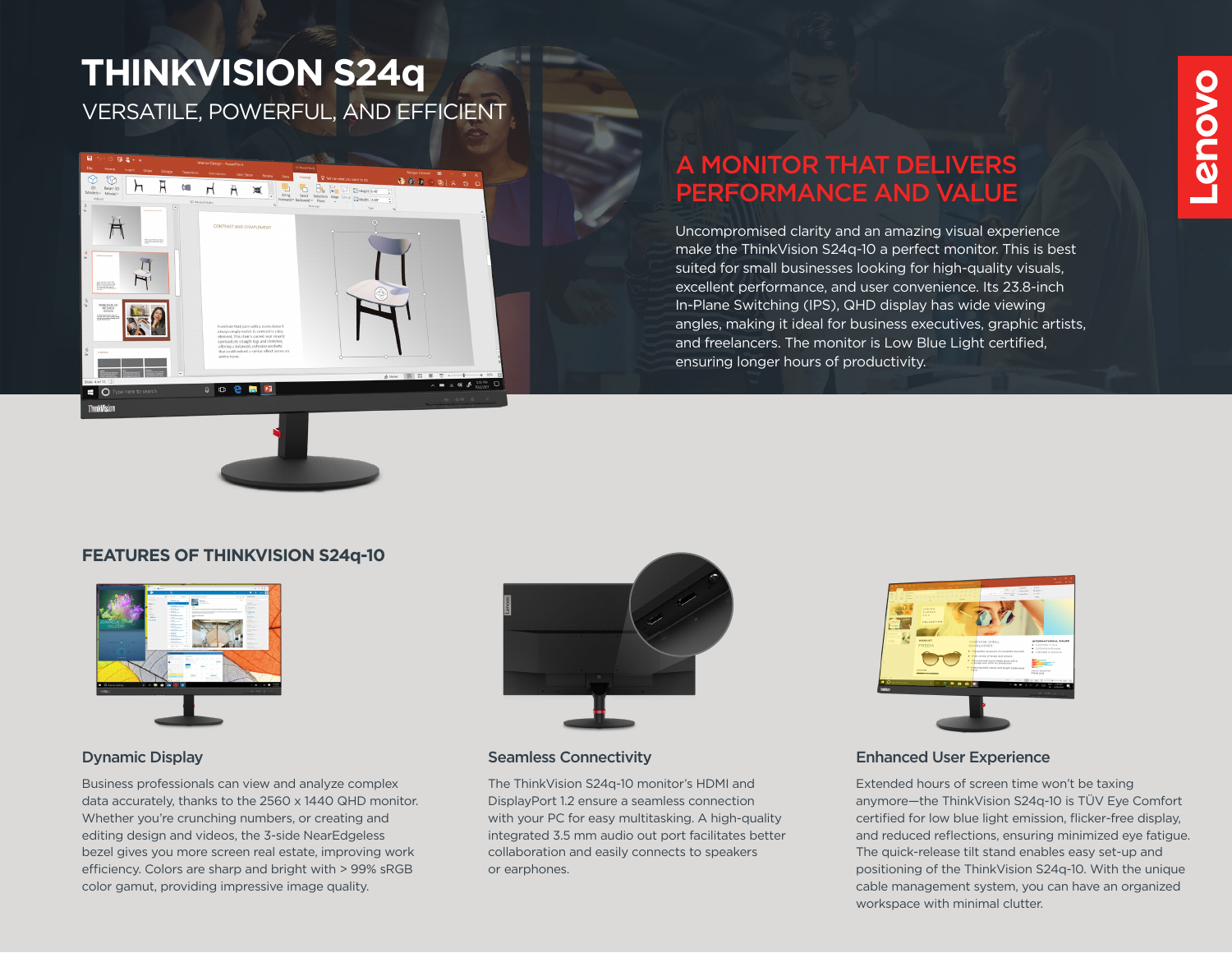# VERSATILE, POWERFUL, AND EFFICIENT **THINKVISION S24q**



## A MONITOR THAT DELIVERS PERFORMANCE AND VALUE

Uncompromised clarity and an amazing visual experience make the ThinkVision S24q-10 a perfect monitor. This is best suited for small businesses looking for high-quality visuals, excellent performance, and user convenience. Its 23.8-inch In-Plane Switching (IPS), QHD display has wide viewing angles, making it ideal for business executives, graphic artists, and freelancers. The monitor is Low Blue Light certified, ensuring longer hours of productivity.

### **FEATURES OF THINKVISION S24q-10**



Business professionals can view and analyze complex data accurately, thanks to the 2560 x 1440 QHD monitor. Whether you're crunching numbers, or creating and editing design and videos, the 3-side NearEdgeless bezel gives you more screen real estate, improving work efficiency. Colors are sharp and bright with > 99% sRGB color gamut, providing impressive image quality.



#### **Dynamic Display Seamless Connectivity**

The ThinkVision S24q-10 monitor's HDMI and DisplayPort 1.2 ensure a seamless connection with your PC for easy multitasking. A high-quality integrated 3.5 mm audio out port facilitates better collaboration and easily connects to speakers or earphones.



#### Enhanced User Experience

Extended hours of screen time won't be taxing anymore—the ThinkVision S24q-10 is TÜV Eye Comfort certified for low blue light emission, flicker-free display, and reduced reflections, ensuring minimized eye fatigue. The quick-release tilt stand enables easy set-up and positioning of the ThinkVision S24q-10. With the unique cable management system, you can have an organized workspace with minimal clutter.